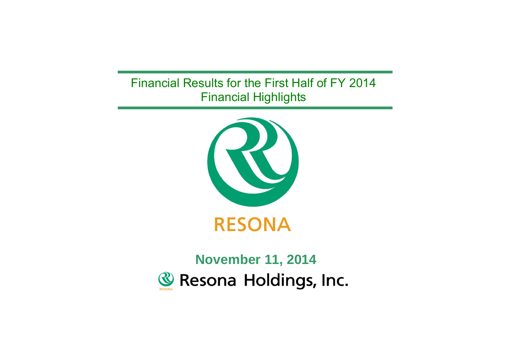## Financial Results for the First Half of FY 2014 Financial Highlights



**RESONA** 

# **November 11, 2014& Resona Holdings, Inc.**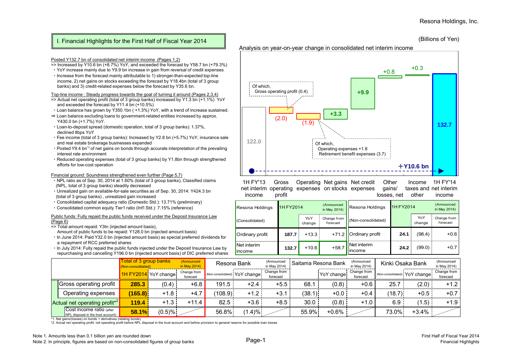### I. Financial Highlights for the First Half of Fiscal Year 2014

#### (Billions of Yen)

#### Posted Y132.7 bn of consolidated net interim income (Pages 1,2)

- $\frac{1}{2}$  Increased by Y10.6 bn (+8.7%) YoY, and exceeded the forecast by Y58.7 bn (+79.3%)
- ・YoY increase mainly due to Y9.9 bn increase in gain from reversal of credit expenses ・Increase from the forecast mainly attributable to 1) stronger-than-expected top-line
- income, 2) net gains on stocks exceeding the forecast by Y18.4bn (total of 3 group banks) and 3) credit-related expenses below the forecast by Y35.6 bn.

#### Top-line income : Steady progress towards the goal of turning it around (Pages 2,3,4)

- $\approx$  Actual net operating profit (total of 3 group banks) increased by Y1.3 bn (+1.1%) YoY and exceeded the forecast by Y11.4 bn (+10.5%)
- ・Loan balance has grown by Y350.1bn ( +1.3%) YoY, with a trend of increase sustained.
- ⇒ Loan balance excluding loans to government-related entities increased by approx. Y430.0 bn (+1.7%) YoY.
- ・Loan-to-deposit spread (domestic operation, total of 3 group banks): 1.37%, declined 8bps YoY
- ・Fee income (total of 3 group banks): Increased by Y2.8 bn (+5.7%) YoY, insurance sale and real estate brokerage businesses expanded
- ・Posted Y9.4 bn\*1 of net gains on bonds through accurate interpretation of the prevailing interest rate environment
- ・Reduced operating expenses (total of 3 group banks) by Y1.8bn through strengthened efforts for low-cost operation

#### Financial ground: Soundness strengthened even further (Page 5,7)

- ・NPL ratio as of Sep. 30, 2014 at 1.60% (total of 3 group banks), Classified claims (NPL, total of 3 group banks) steadily decreased
- ・Unrealized gain on available-for-sale securities as of Sep. 30, 2014: Y424.3 bn (total of 3 group banks) , unrealized gain increased
- ・Consolidated capital adequacy ratio (Domestic Std.): 13.71% (preliminary)
- ・Consolidated common equity Tier1 ratio (Int'l Std.): 7.15% (reference)

#### Public funds: Fully repaid the public funds received under the Deposit Insurance Law (Page 6)

- => Total amount repaid: Y3tn (injected amount basis),
- Amount of public funds to be repaid: Y128.0 bn (injected amount basis)
- ・In June 2014: Paid Y32.0 bn (injected amount basis) as special preferred dividends for a repayment of RCC preferred shares
- ・In July 2014: Fully repaid the public funds injected under the Deposit Insurance Law by repurchasing and cancelling Y196.0 bn (injected amount basis) of DIC preferred shares

**122.0132.7** $(1.9)$  (1.9) **+3.3 +9.9**  $+0.8$   $+0.3$ +**Y10.6 bn**Of which, Operating expenses +1.8 Retirement benefit expenses (3.7) Of which, Gross operating profit (0.4)

Analysis on year-on-year change in consolidated net interim income

1H FY'13net interim operating expenses on stocks expenses incomeGrossprofit Operating Net gains Net credit **Other** gains/ losses, net Incometaxes and net interim other1H FY'14income

| Resona Holdings | 1H FY2014 |               | (Announced<br>in May 2014) | Resona Holdings        | <b>1H FY2014</b> |               | (Announced<br>in May 2014) |  |
|-----------------|-----------|---------------|----------------------------|------------------------|------------------|---------------|----------------------------|--|
| (Consolidated)  |           | YoY<br>change | Change from<br>forecast    | (Non-consolidated)     |                  | YoY<br>change | Change from<br>forecast    |  |
| Ordinary profit | 187.7     | $+13.3$       | $+71.2$                    | <b>Ordinary profit</b> | 24.1             | (98.4)        | $+0.6$                     |  |
| Net interim     | 132.7     | $+10.6$       | $+58.7$                    | Net interim            | 24.2             | (99.0)        | $+0.7$                     |  |

|                                                                | Total of 3 group banks<br>(Non-consolidated) |                      | (Announced<br>in May 2014) | Resona Bank |                               | (Announced<br>in May 2014) |        | Saitama Resona Bank | (Announced<br>in May 2014) |        | Kinki Osaka Bank                | (Announced<br>in May 2014) |
|----------------------------------------------------------------|----------------------------------------------|----------------------|----------------------------|-------------|-------------------------------|----------------------------|--------|---------------------|----------------------------|--------|---------------------------------|----------------------------|
|                                                                |                                              | 1H FY2014 YoY change | Change from<br>forecast    |             | (Non-consolidated) YoY change | Change from<br>forecast    |        | YoY change:         | Change from<br>forecast    |        | I (Non-consolidated) YoY change | Change from<br>forecast    |
| <b>Gross operating profit</b>                                  | 285.3                                        | (0.4)                | $+6.8$                     | 191.5       | $+2.4$                        | $+5.5$                     | 68.1   | (0.8)               | $+0.6$                     | 25.7   | (2.0)                           | $+1.2$                     |
| Operating expenses                                             | (165.8)                                      | $+1.8$               | $+4.7$                     | (108.9)     | $+1.2$                        | $+3.1$                     | (38.1) | $+0.0$              | $+0.4$                     | (18.7) | $+0.5$                          | $+0.7$                     |
| Actual net operating profit*2                                  | 119.4                                        | $+1.3$               | $+11.4$                    | 82.5        | $+3.6$                        | $+8.5$                     | 30.0   | (0.8)               | $+1.0$                     | 6.9    | (1.5)                           | $+1.9$                     |
| Cost income ratio (after<br>NPL disposal in the trust account) | 58.1%                                        | $(0.5) \%$           |                            | 56.8%       | $(1.4)\%$                     |                            | 55.9%  | $+0.6\%$            |                            | 73.0%  | $+3.4%$                         |                            |

\*1. Net gains/(losses) on bonds + derivatives (relating bonds)

\*2. Actual net operating profit: net operating profit before NPL disposal in the trust account and before provision to general reserve for possible loan losses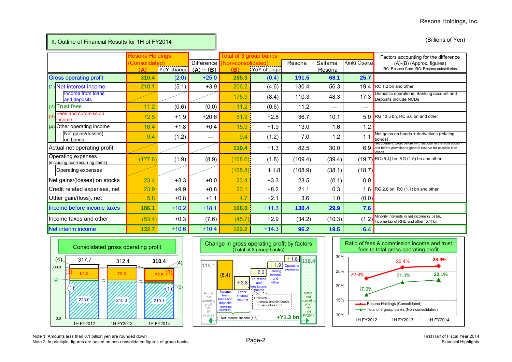| II. Outline of Financial Results for 1H of FY2014     |                        |                        |                   |                          |                               |         |                   |             | (Billions of Yen)                                                                                                                    |
|-------------------------------------------------------|------------------------|------------------------|-------------------|--------------------------|-------------------------------|---------|-------------------|-------------|--------------------------------------------------------------------------------------------------------------------------------------|
|                                                       | <b>Resona Holdings</b> |                        |                   |                          | <b>Total of 3 group banks</b> |         |                   |             | Factors accounting for the difference                                                                                                |
|                                                       | Consolidated)<br>(A)   | YoY change $(A) - (B)$ | <b>Difference</b> | Von-consolidated)<br>(B) | YoY change                    | Resona  | Saitama<br>Resona | Kinki Osaka | (A)-(B) (Approx. figures)<br>RC: Resona Card, RG: Resona subsidiaries                                                                |
| <b>Gross operating profit</b>                         | 310.4                  | (2.0)                  | $+25.0$           | 285.3                    | (0.4)                         | 191.5   | 68.1              | 25.7        |                                                                                                                                      |
| (1) Net interest income                               | 210.1                  | (5.1)                  | $+3.9$            | 206.2                    | (4.6)                         | 130.4   | 56.3              |             | 19.4 RC 1.2 bn and other                                                                                                             |
| Income from loans<br>and deposits                     |                        |                        |                   | 175.9                    | (8.4)                         | 110.3   | 48.3              | 17.3        | Domestic operations, Banking account and<br>Deposits include NCDs                                                                    |
| (2) Trust fees                                        | 11.2                   | (0.6)                  | (0.0)             | 11.2                     | (0.6)                         | 11.2    |                   |             |                                                                                                                                      |
| Fees and commission<br>(3)<br>income                  | 72.5                   | $+1.9$                 | $+20.6$           | 51.9                     | $+2.8$                        | 36.7    | 10.1              |             | 5.0 RG 13.5 bn, RC 6.6 bn and other                                                                                                  |
| (4) Other operating income                            | 16.4                   | $+1.8$                 | $+0.4$            | 15.9                     | $+1.9$                        | 13.0    | 1.6               | 1.2         |                                                                                                                                      |
| Net gains/(losses)<br>on bonds                        | 9.4                    | (1.2)                  | —                 | 9.4                      | (1.2)                         | 7.0     | 1.2               | 1.1         | Net gains on bonds + derivatives (relating<br>bonds)                                                                                 |
| Actual net operating profit                           |                        |                        |                   | 119.4                    | $+1.3$                        | 82.5    | 30.0              | 6.9         | vet operating profit before NPL disposal in the trust account<br>and before provision to general reserve for possible loan<br>losses |
| Operating expenses<br>(including non-recurring items) | (177.6)                | (1.9)                  | (8.9)             | (168.6)                  | (1.8)                         | (109.4) | (39.4)            |             | $(19.7)$ RC (5.4) bn, RG (1.5) bn and other                                                                                          |
| Operating expenses                                    |                        |                        |                   | (165.8)                  | $+1.8$                        | (108.9) | (38.1)            | (18.7)      |                                                                                                                                      |
| Net gains/(losses) on stocks                          | 23.4                   | $+3.3$                 | $+0.0$            | 23.4                     | $+3.3$                        | 23.5    | (0.1)             | 0.0         |                                                                                                                                      |
| Credit related expenses, net                          | 23.9                   | $+9.9$                 | $+0.8$            | 23.1                     | $+8.2$                        | 21.1    | 0.3               | 1.6         | RG 2.6 bn, RC (1.1) bn and other                                                                                                     |
| Other gain/(loss), net                                | 5.8                    | $+0.8$                 | $+1.1$            | 4.7                      | $+2.1$                        | 3.6     | 1.0               | (0.0)       |                                                                                                                                      |
| Income before income taxes                            | 186.1                  | $+10.2$                | $+18.1$           | 168.0                    | $+11.3$                       | 130.4   | 29.9              | 7.6         |                                                                                                                                      |
| Income taxes and other                                | (53.4)                 | $+0.3$                 | (7.6)             | (45.7)                   | $+2.9$                        | (34.2)  | (10.3)            | (1.2)       | Minority interests in net income (2.5) bn,<br>Income tax of RHD and other (5.1) bn                                                   |
| Net interim income                                    | 132.7                  | $+10.6$                | $+10.4$           | 122.2                    | $+14.3$                       | 96.2    | 19.5              | 6.4         |                                                                                                                                      |







Note 1. Amounts less than 0.1 billion yen are rounded down Note 1. Amounts less than 0.1 billion yet are rounded down<br>Note 2. In principle, figures are based on non-consolidated figures of group banks Page-2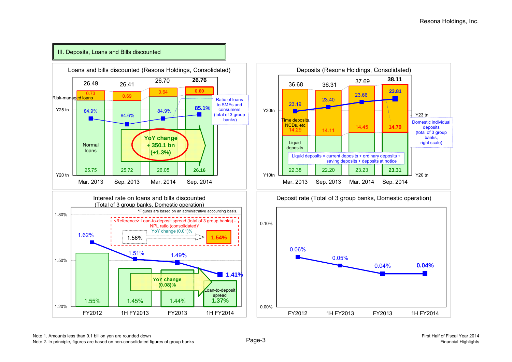

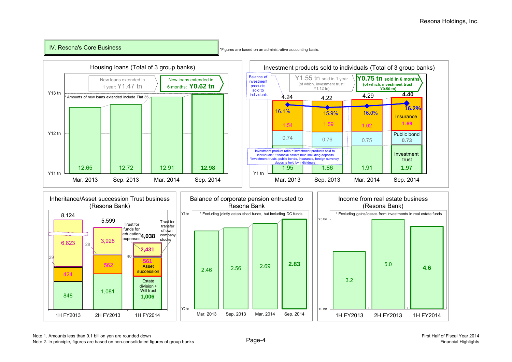## IV. Resona's Core Business

\*Figures are based on an administrative accounting basis.

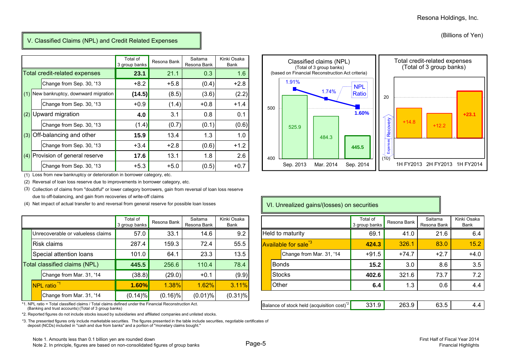(Billions of Yen)

## V. Classified Claims (NPL) and Credit Related Expenses

|     |                                    | Total of<br>3 group banks | Resona Bank | Saitama<br>Resona Bank | Kinki Osaka<br>Bank |
|-----|------------------------------------|---------------------------|-------------|------------------------|---------------------|
|     | Total credit-related expenses      | 23.1                      | 21.1        | 0.3                    | 1.6                 |
|     | Change from Sep. 30, '13           | $+8.2$                    | $+5.8$      | (0.4)                  | $+2.8$              |
| (1) | New bankruptcy, downward migration | (14.5)                    | (8.5)       | (3.6)                  | (2.2)               |
|     | Change from Sep. 30, '13           | $+0.9$                    | (1.4)       | $+0.8$                 | $+1.4$              |
| (2) | Upward migration                   | 4.0                       | 3.1         | 0.8                    | 0.1                 |
|     | Change from Sep. 30, '13           | (1.4)                     | (0.7)       | (0.1)                  | (0.6)               |
| (3) | Off-balancing and other            | 15.9                      | 13.4        | 1.3                    | 1.0                 |
|     | Change from Sep. 30, '13           | $+3.4$                    | $+2.8$      | (0.6)                  | $+1.2$              |
| (4) | Provision of general reserve       | 17.6                      | 13.1        | 1.8                    | 2.6                 |
|     | Change from Sep. 30, '13           | $+5.3$                    | $+5.0$      | (0.5)                  | $+0.7$              |

(1) Loss from new bankruptcy or deterioration in borrower category, etc.

(2) Reversal of loan loss reserve due to improvements in borrower category, etc.

(3) Collection of claims from "doubtful" or lower category borrowers, gain from reversal of loan loss reserve due to off-balancing, and gain from recoveries of write-off claims

(4) Net impact of actual transfer to and reversal from general reserve for possible loan losses

|             |                                   | Total of<br>3 group banks | Resona Bank | Saitama<br>Resona Bank | Kinki Osaka<br>Bank |  |              |                                  |
|-------------|-----------------------------------|---------------------------|-------------|------------------------|---------------------|--|--------------|----------------------------------|
|             | Unrecoverable or valueless claims | 57.0                      | 33.1        | 14.6                   | 9.2                 |  |              | Held to maturity                 |
| Risk claims |                                   | 287.4                     | 159.3       | 72.4                   | 55.5                |  |              | Available for sale <sup>*3</sup> |
|             | Special attention loans           | 101.0                     | 64.1        | 23.3                   | 13.5                |  |              | Change from                      |
|             | Total classified claims (NPL)     | 445.5                     | 256.6       | 110.4                  | 78.4                |  | <b>Bonds</b> |                                  |
|             | Change from Mar. 31, '14          | (38.8)                    | (29.0)      | $+0.1$                 | (9.9)               |  |              | <b>Stocks</b>                    |
|             | NPL ratio <sup>*1</sup>           | 1.60%                     | 1.38%       | 1.62%                  | 3.11%               |  | Other        |                                  |
|             | Change from Mar. 31, '14          | (0.14)%                   | $(0.16)\%$  | $(0.01)\%$             | $(0.31)\%$          |  |              |                                  |

\*1. NPL ratio = Total classified claims / Total claims defined under the Financial Reconstruction Act. (Banking and trust accounts) (Total of 3 group banks)

\*2. Reported figures do not include stocks issued by subsidiaries and affiliated companies and unlisted stocks.

\*3. The presented figures only include marketable securities. The figures presented in the table include securities, negotiable certificates of deposit (NCDs) included in "cash and due from banks" and a portion of "monetary claims bought."

400

500



## VI. Unrealized gains/(losses) on securities

|                                                                                                                                            | Total of<br>3 group banks | Resona Bank | Saitama<br>Resona Bank | Kinki Osaka<br>Bank                                   |                                  | Total of<br>3 group banks | Resona Bank | Saitama<br>Resona Bank | Kinki Osaka<br>Bank |
|--------------------------------------------------------------------------------------------------------------------------------------------|---------------------------|-------------|------------------------|-------------------------------------------------------|----------------------------------|---------------------------|-------------|------------------------|---------------------|
| coverable or valueless claims                                                                                                              | 57.0                      | 33.1        | 14.6                   | 9.2                                                   | Held to maturity                 | 69.1                      | 41.0        | 21.6                   | 6.4                 |
| k claims                                                                                                                                   | 287.4                     | 159.3       | 72.4                   | 55.5                                                  | Available for sale <sup>*3</sup> | 424.3                     | 326.1       | 83.0                   | 15.2                |
| cial attention loans                                                                                                                       | 101.0                     | 64.1        | 23.3                   | 13.5                                                  | Change from Mar. 31, '14         | $+91.5$                   | $+74.7$     | $+2.7$                 | $+4.0$              |
| assified claims (NPL)                                                                                                                      | 445.5                     | 256.6       | 110.4                  | 78.4                                                  | <b>Bonds</b>                     | 15.2                      | 3.0         | 8.6                    | 3.5                 |
| Change from Mar. 31, '14                                                                                                                   | (38.8)                    | (29.0)      | $+0.1$                 | (9.9)                                                 | <b>Stocks</b>                    | 402.6                     | 321.6       | 73.7                   | 7.2                 |
| . ratio <sup>*1</sup>                                                                                                                      | 1.60%                     | 1.38%       | 1.62%                  | 3.11%                                                 | Other                            | 6.4                       | 1.3         | 0.6                    | 4.4                 |
| Change from Mar. 31, '14                                                                                                                   | $(0.14)\%$                | $(0.16)\%$  | $(0.01)\%$             | $(0.31)\%$                                            |                                  |                           |             |                        |                     |
| o = Total classified claims / Total claims defined under the Financial Reconstruction Act.<br>and trust accounts) (Total of 3 group banks) |                           |             |                        | Balance of stock held (acquisition cost) <sup>4</sup> | 331.9                            | 263.9                     | 63.5        | 4.4                    |                     |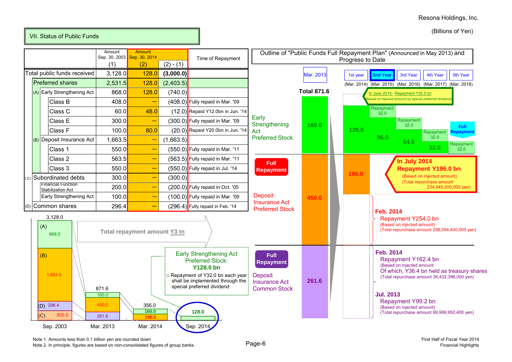(Billions of Yen)



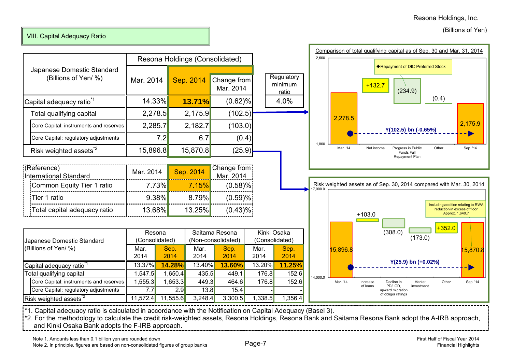## VIII. Capital Adequacy Ratio

|                                                                            |                    | Resona Holdings (Consolidated) |                                     |                                    |
|----------------------------------------------------------------------------|--------------------|--------------------------------|-------------------------------------|------------------------------------|
| Japanese Domestic Standard<br>(Billions of Yen/ %)                         | Mar. 2014          | Sep. 2014                      | Change from<br>Mar. 2014            | Regulato<br>minimu<br><u>ratio</u> |
| Capital adequacy ratio <sup>1</sup>                                        | 14.33%             | 13.71%                         | (0.62)%                             | 4.0%                               |
| Total qualifying capital                                                   | 2,278.5            | 2,175.9                        | (102.5)                             |                                    |
| Core Capital: instruments and reserves                                     | 2,285.7            | 2,182.7                        | (103.0)                             |                                    |
| Core Capital: regulatory adjustments                                       | 7.2                | 6.7                            | (0.4)                               |                                    |
| Risk weighted assets <sup>2</sup>                                          | 15,896.8           | 15,870.8                       | (25.9)                              |                                    |
| (Reference)<br><b>International Standard</b><br>Common Equity Tier 1 ratio | Mar. 2014<br>7.73% | Sep. 2014<br>7.15%             | Change from<br>Mar. 2014<br>(0.58)% |                                    |
| Tier 1 ratio                                                               | 9.38%              | 8.79%                          | (0.59)%                             |                                    |
| Total capital adequacy ratio                                               | 13.68%l            | 13.25%                         | $(0.43)\%$                          |                                    |
|                                                                            |                    |                                |                                     |                                    |

|                                        | Resona   |                | Saitama Resona |                    | Kinki Osaka |                |  |
|----------------------------------------|----------|----------------|----------------|--------------------|-------------|----------------|--|
| Japanese Domestic Standard             |          | (Consolidated) |                | (Non-consolidated) |             | (Consolidated) |  |
| (Billions of Yen/ %)                   | Mar.     | Sep.           | Mar.           | Sep.               | Mar.        | Sep.           |  |
|                                        | 2014     | 2014           | 2014           | 2014               | 2014        | 2014           |  |
| Capital adequacy ratio <sup>1</sup>    | 13.37%   | 14.28%         | 13.40%         | 13.60%             | 13.20%      | 11.25%         |  |
| Total qualifying capital               | 1,547.5  | 1,650.4        | 435.5          | 449.1              | 176.8       | 152.6          |  |
| Core Capital: instruments and reserves | 1,555.3  | 1,653.3        | 449.3          | 464.6              | 176.8       | 152.6          |  |
| Core Capital: regulatory adjustments   | 7.7      | 2.9            | 13.8           | 15.4               |             |                |  |
| Risk weighted assets <sup>2</sup>      | 11,572.4 | 11,555.6       | 3,248.4        | 3,300.5            | 1,338.5     | 1,356.4        |  |



\*1. Capital adequacy ratio is calculated in accordance with the Notification on Capital Adequacy (Basel 3).

\*2. For the methodology to calculate the credit risk-weighted assets, Resona Holdings, Resona Bank and Saitama Resona Bank adopt the A-IRB approach,

**Regulatory** minimum ratio

14,000.0

Mar. '14 Increase

of loans

Decline in PD/LGD, upward migration of obligor ratings

Marketinvestment

**Y(25.9) bn (+0.02%)**

and Kinki Osaka Bank adopts the F-IRB approach.

Other Sep. '14